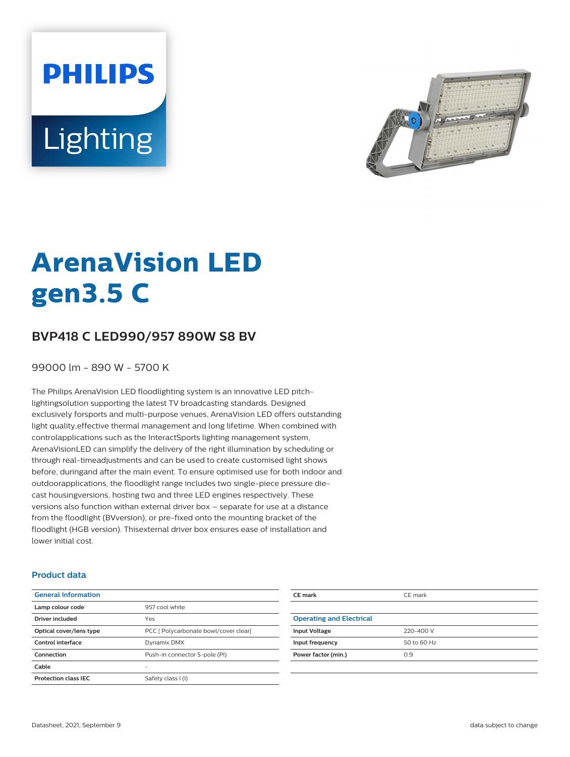**PHILIPS** Lighting



# **ArenaVision LED gen3.5 C**

# **BVP418 C LED990/957 890W S8 BV**

99000 lm - 890 W - 5700 K

The Philips ArenaVision LED floodlighting system is an innovative LED pitchlightingsolution supporting the latest TV broadcasting standards. Designed exclusively forsports and multi-purpose venues, ArenaVision LED offers outstanding light quality,effective thermal management and long lifetime. When combined with controlapplications such as the InteractSports lighting management system, ArenaVisionLED can simplify the delivery of the right illumination by scheduling or through real-timeadjustments and can be used to create customised light shows before, duringand after the main event. To ensure optimised use for both indoor and outdoorapplications, the floodlight range includes two single-piece pressure diecast housingversions, hosting two and three LED engines respectively. These versions also function withan external driver box – separate for use at a distance from the floodlight (BVversion), or pre-fixed onto the mounting bracket of the floodlight (HGB version). Thisexternal driver box ensures ease of installation and lower initial cost.

#### **Product data**

| <b>General Information</b>  |                                       |
|-----------------------------|---------------------------------------|
| Lamp colour code            | 957 cool white                        |
| Driver included             | Yes                                   |
| Optical cover/lens type     | PCC [ Polycarbonate bowl/cover clear] |
| Control interface           | Dynamix DMX                           |
| Connection                  | Push-in connector 5-pole (PI)         |
| Cable                       |                                       |
| <b>Protection class IEC</b> | Safety class I (I)                    |
|                             |                                       |

| CE mark                         | CE mark     |
|---------------------------------|-------------|
|                                 |             |
| <b>Operating and Electrical</b> |             |
| <b>Input Voltage</b>            | 220-400 V   |
| Input frequency                 | 50 to 60 Hz |
| Power factor (min.)             | 0.9         |
|                                 |             |